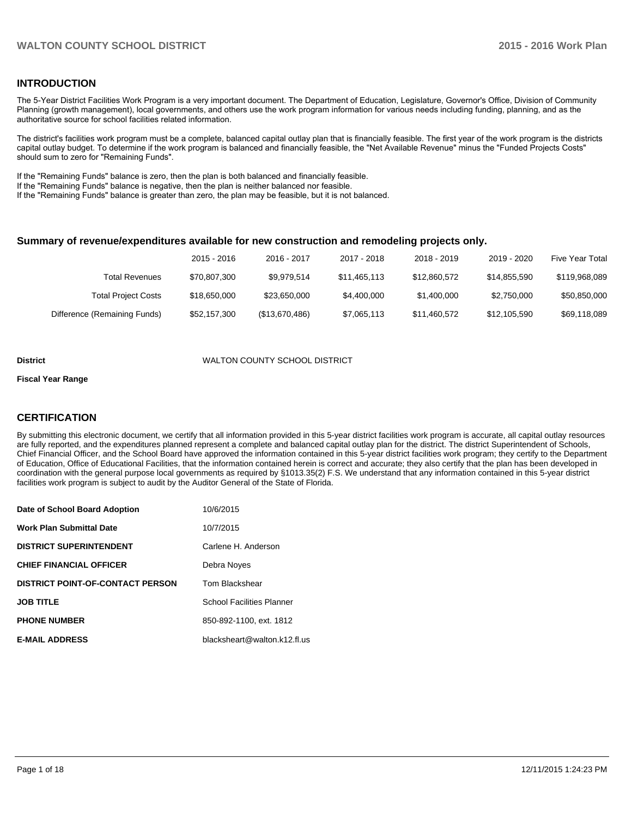### **INTRODUCTION**

The 5-Year District Facilities Work Program is a very important document. The Department of Education, Legislature, Governor's Office, Division of Community Planning (growth management), local governments, and others use the work program information for various needs including funding, planning, and as the authoritative source for school facilities related information.

The district's facilities work program must be a complete, balanced capital outlay plan that is financially feasible. The first year of the work program is the districts capital outlay budget. To determine if the work program is balanced and financially feasible, the "Net Available Revenue" minus the "Funded Projects Costs" should sum to zero for "Remaining Funds".

If the "Remaining Funds" balance is zero, then the plan is both balanced and financially feasible.

If the "Remaining Funds" balance is negative, then the plan is neither balanced nor feasible.

If the "Remaining Funds" balance is greater than zero, the plan may be feasible, but it is not balanced.

#### **Summary of revenue/expenditures available for new construction and remodeling projects only.**

|                              | 2015 - 2016  | 2016 - 2017    | 2017 - 2018  | 2018 - 2019  | 2019 - 2020  | <b>Five Year Total</b> |
|------------------------------|--------------|----------------|--------------|--------------|--------------|------------------------|
| Total Revenues               | \$70,807,300 | \$9.979.514    | \$11,465,113 | \$12,860,572 | \$14.855.590 | \$119,968,089          |
| <b>Total Project Costs</b>   | \$18.650.000 | \$23,650,000   | \$4,400,000  | \$1,400,000  | \$2,750,000  | \$50,850,000           |
| Difference (Remaining Funds) | \$52,157,300 | (\$13,670,486) | \$7,065,113  | \$11.460.572 | \$12.105.590 | \$69,118,089           |

#### **District** WALTON COUNTY SCHOOL DISTRICT

#### **Fiscal Year Range**

## **CERTIFICATION**

By submitting this electronic document, we certify that all information provided in this 5-year district facilities work program is accurate, all capital outlay resources are fully reported, and the expenditures planned represent a complete and balanced capital outlay plan for the district. The district Superintendent of Schools, Chief Financial Officer, and the School Board have approved the information contained in this 5-year district facilities work program; they certify to the Department of Education, Office of Educational Facilities, that the information contained herein is correct and accurate; they also certify that the plan has been developed in coordination with the general purpose local governments as required by §1013.35(2) F.S. We understand that any information contained in this 5-year district facilities work program is subject to audit by the Auditor General of the State of Florida.

| Date of School Board Adoption           | 10/6/2015                        |
|-----------------------------------------|----------------------------------|
| <b>Work Plan Submittal Date</b>         | 10/7/2015                        |
| <b>DISTRICT SUPERINTENDENT</b>          | Carlene H. Anderson              |
| <b>CHIEF FINANCIAL OFFICER</b>          | Debra Noves                      |
| <b>DISTRICT POINT-OF-CONTACT PERSON</b> | Tom Blackshear                   |
| <b>JOB TITLE</b>                        | <b>School Facilities Planner</b> |
| <b>PHONE NUMBER</b>                     | 850-892-1100, ext. 1812          |
| <b>E-MAIL ADDRESS</b>                   | blacksheart@walton.k12.fl.us     |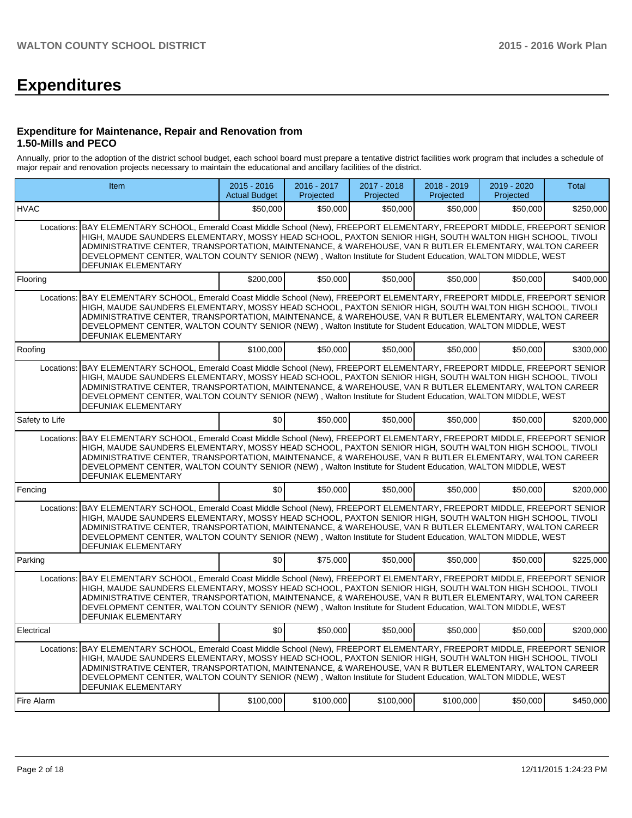# **Expenditures**

#### **Expenditure for Maintenance, Repair and Renovation from 1.50-Mills and PECO**

Annually, prior to the adoption of the district school budget, each school board must prepare a tentative district facilities work program that includes a schedule of major repair and renovation projects necessary to maintain the educational and ancillary facilities of the district.

|                | Item                                                                                                                                                                                                                                                                                                                                                                                                                                                                                | $2015 - 2016$<br><b>Actual Budget</b> | 2016 - 2017<br>Projected | 2017 - 2018<br>Projected | 2018 - 2019<br>Projected | 2019 - 2020<br>Projected | <b>Total</b> |
|----------------|-------------------------------------------------------------------------------------------------------------------------------------------------------------------------------------------------------------------------------------------------------------------------------------------------------------------------------------------------------------------------------------------------------------------------------------------------------------------------------------|---------------------------------------|--------------------------|--------------------------|--------------------------|--------------------------|--------------|
| <b>HVAC</b>    |                                                                                                                                                                                                                                                                                                                                                                                                                                                                                     | \$50,000                              | \$50,000                 | \$50,000                 | \$50,000                 | \$50,000                 | \$250,000    |
| Locations:     | BAY ELEMENTARY SCHOOL, Emerald Coast Middle School (New), FREEPORT ELEMENTARY, FREEPORT MIDDLE, FREEPORT SENIOR<br>HIGH, MAUDE SAUNDERS ELEMENTARY, MOSSY HEAD SCHOOL, PAXTON SENIOR HIGH, SOUTH WALTON HIGH SCHOOL, TIVOLI<br>ADMINISTRATIVE CENTER, TRANSPORTATION, MAINTENANCE, & WAREHOUSE, VAN R BUTLER ELEMENTARY, WALTON CAREER<br>DEVELOPMENT CENTER, WALTON COUNTY SENIOR (NEW), Walton Institute for Student Education, WALTON MIDDLE, WEST<br>DEFUNIAK ELEMENTARY        |                                       |                          |                          |                          |                          |              |
| Flooring       |                                                                                                                                                                                                                                                                                                                                                                                                                                                                                     | \$200,000                             | \$50,000                 | \$50,000                 | \$50,000                 | \$50,000                 | \$400,000    |
| Locations:     | BAY ELEMENTARY SCHOOL, Emerald Coast Middle School (New), FREEPORT ELEMENTARY, FREEPORT MIDDLE, FREEPORT SENIOR<br>HIGH, MAUDE SAUNDERS ELEMENTARY, MOSSY HEAD SCHOOL, PAXTON SENIOR HIGH, SOUTH WALTON HIGH SCHOOL, TIVOLI<br>ADMINISTRATIVE CENTER, TRANSPORTATION, MAINTENANCE, & WAREHOUSE, VAN R BUTLER ELEMENTARY, WALTON CAREER<br>DEVELOPMENT CENTER, WALTON COUNTY SENIOR (NEW), Walton Institute for Student Education, WALTON MIDDLE, WEST<br>DEFUNIAK ELEMENTARY        |                                       |                          |                          |                          |                          |              |
| Roofing        |                                                                                                                                                                                                                                                                                                                                                                                                                                                                                     | \$100,000                             | \$50,000                 | \$50,000                 | \$50,000                 | \$50,000                 | \$300,000    |
| Locations:     | BAY ELEMENTARY SCHOOL, Emerald Coast Middle School (New), FREEPORT ELEMENTARY, FREEPORT MIDDLE, FREEPORT SENIOR<br>HIGH, MAUDE SAUNDERS ELEMENTARY, MOSSY HEAD SCHOOL, PAXTON SENIOR HIGH, SOUTH WALTON HIGH SCHOOL, TIVOLI<br>ADMINISTRATIVE CENTER. TRANSPORTATION. MAINTENANCE. & WAREHOUSE. VAN R BUTLER ELEMENTARY. WALTON CAREER<br>DEVELOPMENT CENTER, WALTON COUNTY SENIOR (NEW), Walton Institute for Student Education, WALTON MIDDLE, WEST<br><b>DEFUNIAK ELEMENTARY</b> |                                       |                          |                          |                          |                          |              |
| Safety to Life |                                                                                                                                                                                                                                                                                                                                                                                                                                                                                     | \$0                                   | \$50,000                 | \$50,000                 | \$50,000                 | \$50,000                 | \$200,000    |
| Locations:     | BAY ELEMENTARY SCHOOL, Emerald Coast Middle School (New), FREEPORT ELEMENTARY, FREEPORT MIDDLE, FREEPORT SENIOR<br>HIGH, MAUDE SAUNDERS ELEMENTARY, MOSSY HEAD SCHOOL, PAXTON SENIOR HIGH, SOUTH WALTON HIGH SCHOOL, TIVOLI<br>ADMINISTRATIVE CENTER, TRANSPORTATION, MAINTENANCE, & WAREHOUSE, VAN R BUTLER ELEMENTARY, WALTON CAREER<br>DEVELOPMENT CENTER, WALTON COUNTY SENIOR (NEW), Walton Institute for Student Education, WALTON MIDDLE, WEST<br>DEFUNIAK ELEMENTARY        |                                       |                          |                          |                          |                          |              |
| Fencing        |                                                                                                                                                                                                                                                                                                                                                                                                                                                                                     | \$0 <sub>1</sub>                      | \$50,000                 | \$50,000                 | \$50,000                 | \$50.000                 | \$200.000    |
| Locations:     | BAY ELEMENTARY SCHOOL, Emerald Coast Middle School (New), FREEPORT ELEMENTARY, FREEPORT MIDDLE, FREEPORT SENIOR<br>HIGH, MAUDE SAUNDERS ELEMENTARY, MOSSY HEAD SCHOOL, PAXTON SENIOR HIGH, SOUTH WALTON HIGH SCHOOL, TIVOLI<br>ADMINISTRATIVE CENTER, TRANSPORTATION, MAINTENANCE, & WAREHOUSE, VAN R BUTLER ELEMENTARY, WALTON CAREER<br>DEVELOPMENT CENTER, WALTON COUNTY SENIOR (NEW), Walton Institute for Student Education, WALTON MIDDLE, WEST<br>DEFUNIAK ELEMENTARY        |                                       |                          |                          |                          |                          |              |
| Parking        |                                                                                                                                                                                                                                                                                                                                                                                                                                                                                     | \$0                                   | \$75,000                 | \$50,000                 | \$50,000                 | \$50,000                 | \$225,000    |
| Locations:     | BAY ELEMENTARY SCHOOL, Emerald Coast Middle School (New), FREEPORT ELEMENTARY, FREEPORT MIDDLE, FREEPORT SENIOR<br>HIGH, MAUDE SAUNDERS ELEMENTARY, MOSSY HEAD SCHOOL, PAXTON SENIOR HIGH, SOUTH WALTON HIGH SCHOOL, TIVOLI<br>ADMINISTRATIVE CENTER. TRANSPORTATION. MAINTENANCE. & WAREHOUSE. VAN R BUTLER ELEMENTARY. WALTON CAREER<br>DEVELOPMENT CENTER, WALTON COUNTY SENIOR (NEW), Walton Institute for Student Education, WALTON MIDDLE, WEST<br>DEFUNIAK ELEMENTARY        |                                       |                          |                          |                          |                          |              |
| Electrical     |                                                                                                                                                                                                                                                                                                                                                                                                                                                                                     | \$0                                   | \$50,000                 | \$50,000                 | \$50,000                 | \$50,000                 | \$200,000    |
| Locations:     | BAY ELEMENTARY SCHOOL, Emerald Coast Middle School (New), FREEPORT ELEMENTARY, FREEPORT MIDDLE, FREEPORT SENIOR<br>HIGH, MAUDE SAUNDERS ELEMENTARY, MOSSY HEAD SCHOOL, PAXTON SENIOR HIGH, SOUTH WALTON HIGH SCHOOL, TIVOLI<br>ADMINISTRATIVE CENTER, TRANSPORTATION, MAINTENANCE, & WAREHOUSE, VAN R BUTLER ELEMENTARY, WALTON CAREER<br>DEVELOPMENT CENTER, WALTON COUNTY SENIOR (NEW), Walton Institute for Student Education, WALTON MIDDLE, WEST<br>DEFUNIAK ELEMENTARY        |                                       |                          |                          |                          |                          |              |
| Fire Alarm     |                                                                                                                                                                                                                                                                                                                                                                                                                                                                                     | \$100,000                             | \$100,000                | \$100,000                | \$100,000                | \$50,000                 | \$450,000    |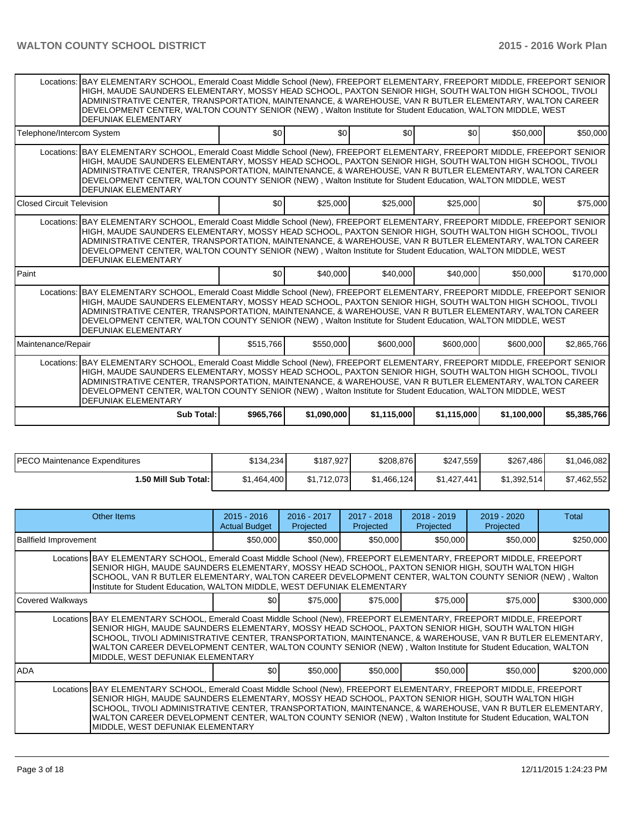|                                                                                                                                                                                                                                                                                                                                                                                                                                                                                                | Locations: BAY ELEMENTARY SCHOOL, Emerald Coast Middle School (New), FREEPORT ELEMENTARY, FREEPORT MIDDLE, FREEPORT SENIOR<br>HIGH, MAUDE SAUNDERS ELEMENTARY, MOSSY HEAD SCHOOL, PAXTON SENIOR HIGH, SOUTH WALTON HIGH SCHOOL, TIVOLI<br>ADMINISTRATIVE CENTER, TRANSPORTATION, MAINTENANCE, & WAREHOUSE, VAN R BUTLER ELEMENTARY, WALTON CAREER<br>DEVELOPMENT CENTER, WALTON COUNTY SENIOR (NEW), Walton Institute for Student Education, WALTON MIDDLE, WEST<br><b>DEFUNIAK ELEMENTARY</b> |                  |             |                  |             |             |             |  |  |  |  |  |
|------------------------------------------------------------------------------------------------------------------------------------------------------------------------------------------------------------------------------------------------------------------------------------------------------------------------------------------------------------------------------------------------------------------------------------------------------------------------------------------------|------------------------------------------------------------------------------------------------------------------------------------------------------------------------------------------------------------------------------------------------------------------------------------------------------------------------------------------------------------------------------------------------------------------------------------------------------------------------------------------------|------------------|-------------|------------------|-------------|-------------|-------------|--|--|--|--|--|
| Telephone/Intercom System                                                                                                                                                                                                                                                                                                                                                                                                                                                                      |                                                                                                                                                                                                                                                                                                                                                                                                                                                                                                | \$0              | \$0         | \$0 <sub>1</sub> | \$0         | \$50,000    | \$50,000    |  |  |  |  |  |
| Locations: BAY ELEMENTARY SCHOOL, Emerald Coast Middle School (New), FREEPORT ELEMENTARY, FREEPORT MIDDLE, FREEPORT SENIOR<br>HIGH, MAUDE SAUNDERS ELEMENTARY, MOSSY HEAD SCHOOL, PAXTON SENIOR HIGH, SOUTH WALTON HIGH SCHOOL, TIVOLI<br>ADMINISTRATIVE CENTER, TRANSPORTATION, MAINTENANCE, & WAREHOUSE, VAN R BUTLER ELEMENTARY, WALTON CAREER<br>DEVELOPMENT CENTER, WALTON COUNTY SENIOR (NEW), Walton Institute for Student Education, WALTON MIDDLE, WEST<br><b>DEFUNIAK ELEMENTARY</b> |                                                                                                                                                                                                                                                                                                                                                                                                                                                                                                |                  |             |                  |             |             |             |  |  |  |  |  |
| Closed Circuit Television                                                                                                                                                                                                                                                                                                                                                                                                                                                                      |                                                                                                                                                                                                                                                                                                                                                                                                                                                                                                | \$0              | \$25,000    | \$25,000         | \$25,000    | \$0         | \$75,000    |  |  |  |  |  |
| Locations: BAY ELEMENTARY SCHOOL, Emerald Coast Middle School (New), FREEPORT ELEMENTARY, FREEPORT MIDDLE, FREEPORT SENIOR<br>HIGH, MAUDE SAUNDERS ELEMENTARY, MOSSY HEAD SCHOOL, PAXTON SENIOR HIGH, SOUTH WALTON HIGH SCHOOL, TIVOLI<br>ADMINISTRATIVE CENTER, TRANSPORTATION, MAINTENANCE, & WAREHOUSE, VAN R BUTLER ELEMENTARY, WALTON CAREER<br>DEVELOPMENT CENTER, WALTON COUNTY SENIOR (NEW), Walton Institute for Student Education, WALTON MIDDLE, WEST<br><b>DEFUNIAK ELEMENTARY</b> |                                                                                                                                                                                                                                                                                                                                                                                                                                                                                                |                  |             |                  |             |             |             |  |  |  |  |  |
| Paint                                                                                                                                                                                                                                                                                                                                                                                                                                                                                          |                                                                                                                                                                                                                                                                                                                                                                                                                                                                                                | \$0 <sub>1</sub> | \$40,000    | \$40,000         | \$40,000    | \$50,000    | \$170,000   |  |  |  |  |  |
| Locations: BAY ELEMENTARY SCHOOL, Emerald Coast Middle School (New), FREEPORT ELEMENTARY, FREEPORT MIDDLE, FREEPORT SENIOR<br>HIGH, MAUDE SAUNDERS ELEMENTARY, MOSSY HEAD SCHOOL, PAXTON SENIOR HIGH, SOUTH WALTON HIGH SCHOOL, TIVOLI<br>ADMINISTRATIVE CENTER, TRANSPORTATION, MAINTENANCE, & WAREHOUSE, VAN R BUTLER ELEMENTARY, WALTON CAREER<br>DEVELOPMENT CENTER, WALTON COUNTY SENIOR (NEW), Walton Institute for Student Education, WALTON MIDDLE, WEST<br><b>DEFUNIAK ELEMENTARY</b> |                                                                                                                                                                                                                                                                                                                                                                                                                                                                                                |                  |             |                  |             |             |             |  |  |  |  |  |
| Maintenance/Repair                                                                                                                                                                                                                                                                                                                                                                                                                                                                             |                                                                                                                                                                                                                                                                                                                                                                                                                                                                                                | \$515,766        | \$550,000   | \$600,000        | \$600,000   | \$600,000   | \$2,865,766 |  |  |  |  |  |
| Locations: BAY ELEMENTARY SCHOOL, Emerald Coast Middle School (New), FREEPORT ELEMENTARY, FREEPORT MIDDLE, FREEPORT SENIOR<br>HIGH, MAUDE SAUNDERS ELEMENTARY, MOSSY HEAD SCHOOL, PAXTON SENIOR HIGH, SOUTH WALTON HIGH SCHOOL, TIVOLI<br>ADMINISTRATIVE CENTER, TRANSPORTATION, MAINTENANCE, & WAREHOUSE, VAN R BUTLER ELEMENTARY, WALTON CAREER<br>DEVELOPMENT CENTER, WALTON COUNTY SENIOR (NEW), Walton Institute for Student Education, WALTON MIDDLE, WEST<br><b>DEFUNIAK ELEMENTARY</b> |                                                                                                                                                                                                                                                                                                                                                                                                                                                                                                |                  |             |                  |             |             |             |  |  |  |  |  |
|                                                                                                                                                                                                                                                                                                                                                                                                                                                                                                | Sub Total:                                                                                                                                                                                                                                                                                                                                                                                                                                                                                     | \$965.766        | \$1,090,000 | \$1,115,000      | \$1,115,000 | \$1.100.000 | \$5,385,766 |  |  |  |  |  |

| IPECO Maintenance Expenditures | \$134,234   | \$187,927   | \$208,876   | \$247,559   | \$267.<br>.486 I | \$1,046,082 |
|--------------------------------|-------------|-------------|-------------|-------------|------------------|-------------|
| 1.50 Mill Sub Total: I         | \$1,464,400 | \$1.712.073 | \$1.466.124 | \$1,427,441 | \$1.392.514      | \$7,462,552 |

|                              | Other Items                                                                                                                                                                                                                                                                                                                                                                                                                                                                            | $2015 - 2016$<br><b>Actual Budget</b> | $2016 - 2017$<br>Projected | $2017 - 2018$<br>Projected | $2018 - 2019$<br>Projected | $2019 - 2020$<br>Projected | Total     |  |  |
|------------------------------|----------------------------------------------------------------------------------------------------------------------------------------------------------------------------------------------------------------------------------------------------------------------------------------------------------------------------------------------------------------------------------------------------------------------------------------------------------------------------------------|---------------------------------------|----------------------------|----------------------------|----------------------------|----------------------------|-----------|--|--|
| <b>Ballfield Improvement</b> |                                                                                                                                                                                                                                                                                                                                                                                                                                                                                        | \$50,000                              | \$50,000                   | \$50,000                   | \$50,000                   | \$50,000                   | \$250,000 |  |  |
|                              | Locations BAY ELEMENTARY SCHOOL, Emerald Coast Middle School (New), FREEPORT ELEMENTARY, FREEPORT MIDDLE, FREEPORT<br>SENIOR HIGH, MAUDE SAUNDERS ELEMENTARY, MOSSY HEAD SCHOOL, PAXTON SENIOR HIGH, SOUTH WALTON HIGH<br>SCHOOL, VAN R BUTLER ELEMENTARY, WALTON CAREER DEVELOPMENT CENTER, WALTON COUNTY SENIOR (NEW), Walton<br>Institute for Student Education, WALTON MIDDLE, WEST DEFUNIAK ELEMENTARY                                                                            |                                       |                            |                            |                            |                            |           |  |  |
| Covered Walkways             |                                                                                                                                                                                                                                                                                                                                                                                                                                                                                        | \$0                                   | \$75,000                   | \$75,000                   | \$75,000                   | \$75,000                   | \$300,000 |  |  |
|                              | Locations BAY ELEMENTARY SCHOOL, Emerald Coast Middle School (New), FREEPORT ELEMENTARY, FREEPORT MIDDLE, FREEPORT<br>SENIOR HIGH, MAUDE SAUNDERS ELEMENTARY, MOSSY HEAD SCHOOL, PAXTON SENIOR HIGH, SOUTH WALTON HIGH<br>SCHOOL, TIVOLI ADMINISTRATIVE CENTER, TRANSPORTATION, MAINTENANCE, & WAREHOUSE, VAN R BUTLER ELEMENTARY,<br>WALTON CAREER DEVELOPMENT CENTER, WALTON COUNTY SENIOR (NEW), Walton Institute for Student Education, WALTON<br>MIDDLE, WEST DEFUNIAK ELEMENTARY |                                       |                            |                            |                            |                            |           |  |  |
| <b>ADA</b>                   |                                                                                                                                                                                                                                                                                                                                                                                                                                                                                        | \$0                                   | \$50,000                   | \$50,000                   | \$50,000                   | \$50,000                   | \$200,000 |  |  |
|                              | Locations BAY ELEMENTARY SCHOOL, Emerald Coast Middle School (New), FREEPORT ELEMENTARY, FREEPORT MIDDLE, FREEPORT<br>SENIOR HIGH, MAUDE SAUNDERS ELEMENTARY, MOSSY HEAD SCHOOL, PAXTON SENIOR HIGH, SOUTH WALTON HIGH<br>SCHOOL, TIVOLI ADMINISTRATIVE CENTER, TRANSPORTATION, MAINTENANCE, & WAREHOUSE, VAN R BUTLER ELEMENTARY,<br>WALTON CAREER DEVELOPMENT CENTER, WALTON COUNTY SENIOR (NEW), Walton Institute for Student Education, WALTON<br>MIDDLE, WEST DEFUNIAK ELEMENTARY |                                       |                            |                            |                            |                            |           |  |  |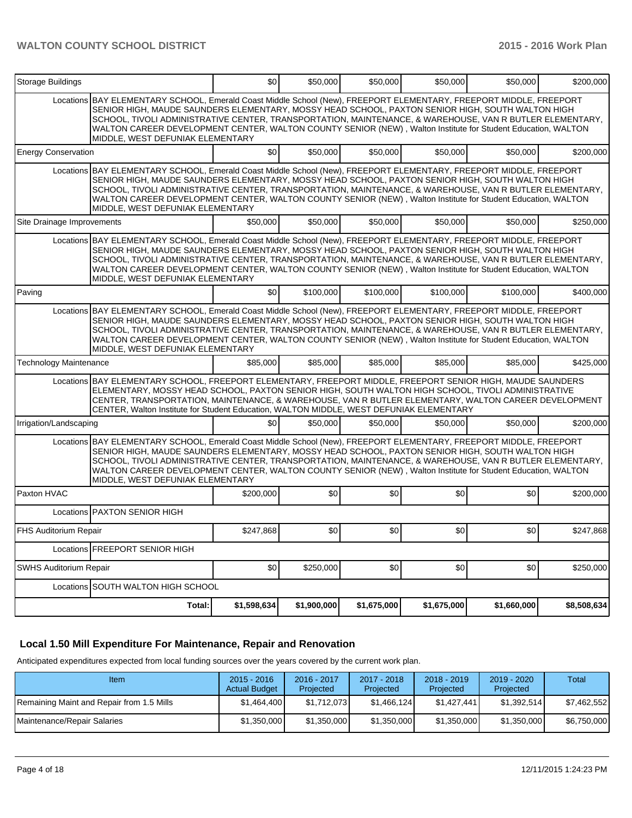| <b>Storage Buildings</b>      |                                                                                                                                                                                                                                                                                                                                                                                                                                                                                        | \$0         | \$50,000         | \$50,000    | \$50,000    | \$50,000    | \$200.000   |
|-------------------------------|----------------------------------------------------------------------------------------------------------------------------------------------------------------------------------------------------------------------------------------------------------------------------------------------------------------------------------------------------------------------------------------------------------------------------------------------------------------------------------------|-------------|------------------|-------------|-------------|-------------|-------------|
|                               | Locations BAY ELEMENTARY SCHOOL, Emerald Coast Middle School (New), FREEPORT ELEMENTARY, FREEPORT MIDDLE, FREEPORT<br>SENIOR HIGH, MAUDE SAUNDERS ELEMENTARY, MOSSY HEAD SCHOOL, PAXTON SENIOR HIGH, SOUTH WALTON HIGH<br>SCHOOL, TIVOLI ADMINISTRATIVE CENTER, TRANSPORTATION, MAINTENANCE, & WAREHOUSE, VAN R BUTLER ELEMENTARY,<br>WALTON CAREER DEVELOPMENT CENTER, WALTON COUNTY SENIOR (NEW), Walton Institute for Student Education, WALTON<br>MIDDLE, WEST DEFUNIAK ELEMENTARY |             |                  |             |             |             |             |
| <b>Energy Conservation</b>    |                                                                                                                                                                                                                                                                                                                                                                                                                                                                                        | \$0         | \$50,000         | \$50,000    | \$50,000    | \$50,000    | \$200,000   |
|                               | Locations BAY ELEMENTARY SCHOOL, Emerald Coast Middle School (New), FREEPORT ELEMENTARY, FREEPORT MIDDLE, FREEPORT<br>SENIOR HIGH, MAUDE SAUNDERS ELEMENTARY, MOSSY HEAD SCHOOL, PAXTON SENIOR HIGH, SOUTH WALTON HIGH<br>SCHOOL, TIVOLI ADMINISTRATIVE CENTER, TRANSPORTATION, MAINTENANCE, & WAREHOUSE, VAN R BUTLER ELEMENTARY,<br>WALTON CAREER DEVELOPMENT CENTER, WALTON COUNTY SENIOR (NEW), Walton Institute for Student Education, WALTON<br>MIDDLE, WEST DEFUNIAK ELEMENTARY |             |                  |             |             |             |             |
| Site Drainage Improvements    |                                                                                                                                                                                                                                                                                                                                                                                                                                                                                        | \$50,000    | \$50,000         | \$50,000    | \$50,000    | \$50,000    | \$250,000   |
|                               | Locations BAY ELEMENTARY SCHOOL, Emerald Coast Middle School (New), FREEPORT ELEMENTARY, FREEPORT MIDDLE, FREEPORT<br>SENIOR HIGH, MAUDE SAUNDERS ELEMENTARY, MOSSY HEAD SCHOOL, PAXTON SENIOR HIGH, SOUTH WALTON HIGH<br>SCHOOL, TIVOLI ADMINISTRATIVE CENTER, TRANSPORTATION, MAINTENANCE, & WAREHOUSE, VAN R BUTLER ELEMENTARY,<br>WALTON CAREER DEVELOPMENT CENTER, WALTON COUNTY SENIOR (NEW), Walton Institute for Student Education, WALTON<br>MIDDLE, WEST DEFUNIAK ELEMENTARY |             |                  |             |             |             |             |
| Paving                        |                                                                                                                                                                                                                                                                                                                                                                                                                                                                                        | \$0         | \$100,000        | \$100,000   | \$100,000   | \$100,000   | \$400.000   |
|                               | Locations BAY ELEMENTARY SCHOOL, Emerald Coast Middle School (New), FREEPORT ELEMENTARY, FREEPORT MIDDLE, FREEPORT<br>SENIOR HIGH, MAUDE SAUNDERS ELEMENTARY, MOSSY HEAD SCHOOL, PAXTON SENIOR HIGH, SOUTH WALTON HIGH<br>SCHOOL, TIVOLI ADMINISTRATIVE CENTER, TRANSPORTATION, MAINTENANCE, & WAREHOUSE, VAN R BUTLER ELEMENTARY,<br>WALTON CAREER DEVELOPMENT CENTER, WALTON COUNTY SENIOR (NEW), Walton Institute for Student Education, WALTON<br>MIDDLE, WEST DEFUNIAK ELEMENTARY |             |                  |             |             |             |             |
| <b>Technology Maintenance</b> |                                                                                                                                                                                                                                                                                                                                                                                                                                                                                        | \$85,000    | \$85,000         | \$85,000    | \$85,000    | \$85,000    | \$425,000   |
|                               | Locations BAY ELEMENTARY SCHOOL, FREEPORT ELEMENTARY, FREEPORT MIDDLE, FREEPORT SENIOR HIGH, MAUDE SAUNDERS<br>ELEMENTARY, MOSSY HEAD SCHOOL, PAXTON SENIOR HIGH, SOUTH WALTON HIGH SCHOOL, TIVOLI ADMINISTRATIVE<br>CENTER, TRANSPORTATION, MAINTENANCE, & WAREHOUSE, VAN R BUTLER ELEMENTARY, WALTON CAREER DEVELOPMENT<br>CENTER, Walton Institute for Student Education, WALTON MIDDLE, WEST DEFUNIAK ELEMENTARY                                                                   |             |                  |             |             |             |             |
| Irrigation/Landscaping        |                                                                                                                                                                                                                                                                                                                                                                                                                                                                                        | \$0         | \$50,000         | \$50,000    | \$50,000    | \$50,000    | \$200,000   |
|                               | Locations BAY ELEMENTARY SCHOOL, Emerald Coast Middle School (New), FREEPORT ELEMENTARY, FREEPORT MIDDLE, FREEPORT<br>SENIOR HIGH, MAUDE SAUNDERS ELEMENTARY, MOSSY HEAD SCHOOL, PAXTON SENIOR HIGH, SOUTH WALTON HIGH<br>SCHOOL, TIVOLI ADMINISTRATIVE CENTER, TRANSPORTATION, MAINTENANCE, & WAREHOUSE, VAN R BUTLER ELEMENTARY,<br>WALTON CAREER DEVELOPMENT CENTER, WALTON COUNTY SENIOR (NEW), Walton Institute for Student Education, WALTON<br>MIDDLE, WEST DEFUNIAK ELEMENTARY |             |                  |             |             |             |             |
| Paxton HVAC                   |                                                                                                                                                                                                                                                                                                                                                                                                                                                                                        | \$200,000   | \$0              | \$0         | \$0         | \$0         | \$200,000   |
|                               | Locations <b>PAXTON SENIOR HIGH</b>                                                                                                                                                                                                                                                                                                                                                                                                                                                    |             |                  |             |             |             |             |
| FHS Auditorium Repair         |                                                                                                                                                                                                                                                                                                                                                                                                                                                                                        | \$247.868   | \$0 <sub>1</sub> | \$0         | \$0         | \$0         | \$247,868   |
|                               | Locations <b>FREEPORT SENIOR HIGH</b>                                                                                                                                                                                                                                                                                                                                                                                                                                                  |             |                  |             |             |             |             |
| SWHS Auditorium Repair        |                                                                                                                                                                                                                                                                                                                                                                                                                                                                                        | \$0         | \$250,000        | \$0         | \$0         | \$0         | \$250,000   |
|                               | Locations SOUTH WALTON HIGH SCHOOL                                                                                                                                                                                                                                                                                                                                                                                                                                                     |             |                  |             |             |             |             |
|                               | Total:                                                                                                                                                                                                                                                                                                                                                                                                                                                                                 | \$1,598,634 | \$1,900,000      | \$1,675,000 | \$1,675,000 | \$1,660,000 | \$8,508,634 |

### **Local 1.50 Mill Expenditure For Maintenance, Repair and Renovation**

Anticipated expenditures expected from local funding sources over the years covered by the current work plan.

| Item                                      | $2015 - 2016$<br><b>Actual Budget</b> | 2016 - 2017<br>Projected | 2017 - 2018<br>Projected | $2018 - 2019$<br>Projected | $2019 - 2020$<br>Projected | Total       |
|-------------------------------------------|---------------------------------------|--------------------------|--------------------------|----------------------------|----------------------------|-------------|
| Remaining Maint and Repair from 1.5 Mills | \$1,464,400                           | \$1.712.073              | \$1.466.124              | \$1.427.441                | \$1,392,514                | \$7,462,552 |
| Maintenance/Repair Salaries               | \$1,350,000                           | \$1,350,000              | \$1,350,000              | \$1,350,000                | \$1,350,000                | \$6,750,000 |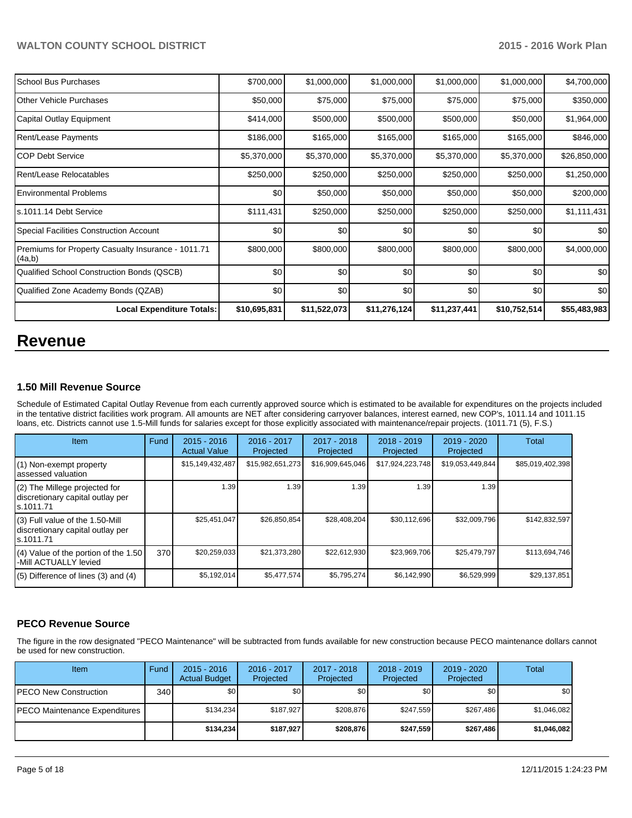| l School Bus Purchases                                       | \$700,000    | \$1,000,000  | \$1,000,000  | \$1,000,000  | \$1,000,000  | \$4,700,000  |
|--------------------------------------------------------------|--------------|--------------|--------------|--------------|--------------|--------------|
| <b>IOther Vehicle Purchases</b>                              | \$50,000     | \$75,000     | \$75,000     | \$75,000     | \$75,000     | \$350,000    |
| Capital Outlay Equipment                                     | \$414,000    | \$500,000    | \$500,000    | \$500,000    | \$50,000     | \$1,964,000  |
| Rent/Lease Payments                                          | \$186,000    | \$165,000    | \$165,000    | \$165,000    | \$165,000    | \$846,000    |
| ICOP Debt Service                                            | \$5,370,000  | \$5,370,000  | \$5,370,000  | \$5,370,000  | \$5,370,000  | \$26,850,000 |
| Rent/Lease Relocatables                                      | \$250,000    | \$250,000    | \$250,000    | \$250,000    | \$250,000    | \$1,250,000  |
| <b>IEnvironmental Problems</b>                               | \$0          | \$50,000     | \$50,000     | \$50,000     | \$50,000     | \$200,000    |
| Is.1011.14 Debt Service                                      | \$111,431    | \$250,000    | \$250,000    | \$250,000    | \$250,000    | \$1,111,431  |
| Special Facilities Construction Account                      | \$0          | \$0          | \$0          | \$0          | \$0          | \$0          |
| Premiums for Property Casualty Insurance - 1011.71<br>(4a,b) | \$800,000    | \$800,000    | \$800,000    | \$800,000    | \$800,000    | \$4,000,000  |
| Qualified School Construction Bonds (QSCB)                   | \$0          | \$0          | \$0          | \$0          | \$0          | \$0          |
| Qualified Zone Academy Bonds (QZAB)                          | \$0          | \$0          | \$0          | \$0          | \$0          | \$0          |
| <b>Local Expenditure Totals:</b>                             | \$10,695,831 | \$11,522,073 | \$11,276,124 | \$11,237,441 | \$10,752,514 | \$55,483,983 |

# **Revenue**

#### **1.50 Mill Revenue Source**

Schedule of Estimated Capital Outlay Revenue from each currently approved source which is estimated to be available for expenditures on the projects included in the tentative district facilities work program. All amounts are NET after considering carryover balances, interest earned, new COP's, 1011.14 and 1011.15 loans, etc. Districts cannot use 1.5-Mill funds for salaries except for those explicitly associated with maintenance/repair projects. (1011.71 (5), F.S.)

| Item                                                                              | Fund | $2015 - 2016$<br><b>Actual Value</b> | $2016 - 2017$<br>Projected | $2017 - 2018$<br>Projected | $2018 - 2019$<br>Projected | $2019 - 2020$<br>Projected | Total            |
|-----------------------------------------------------------------------------------|------|--------------------------------------|----------------------------|----------------------------|----------------------------|----------------------------|------------------|
| (1) Non-exempt property<br>lassessed valuation                                    |      | \$15,149,432,487                     | \$15,982,651,273           | \$16,909,645,046           | \$17,924,223,748           | \$19,053,449,844           | \$85,019,402,398 |
| (2) The Millege projected for<br>discretionary capital outlay per<br>ls.1011.71   |      | 1.39                                 | 1.39                       | 1.39                       | 1.39                       | 1.39                       |                  |
| (3) Full value of the 1.50-Mill<br>discretionary capital outlay per<br>ls.1011.71 |      | \$25,451,047                         | \$26,850,854               | \$28,408,204               | \$30,112,696               | \$32,009,796               | \$142,832,597    |
| (4) Value of the portion of the 1.50<br>-Mill ACTUALLY levied                     | 370  | \$20,259,033                         | \$21,373,280               | \$22,612,930               | \$23,969,706               | \$25,479,797               | \$113,694,746    |
| $(5)$ Difference of lines (3) and (4)                                             |      | \$5,192,014                          | \$5,477,574                | \$5,795,274                | \$6,142,990                | \$6,529,999                | \$29,137,851     |

#### **PECO Revenue Source**

The figure in the row designated "PECO Maintenance" will be subtracted from funds available for new construction because PECO maintenance dollars cannot be used for new construction.

| Item                                  | Fund | $2015 - 2016$<br><b>Actual Budget</b> | 2016 - 2017<br>Projected | 2017 - 2018<br>Projected | $2018 - 2019$<br>Projected | $2019 - 2020$<br>Projected | Total       |
|---------------------------------------|------|---------------------------------------|--------------------------|--------------------------|----------------------------|----------------------------|-------------|
| <b>IPECO New Construction</b>         | 340  | \$0 <sub>1</sub>                      | \$0                      | \$0                      | \$0 <sub>1</sub>           | \$0 <sub>1</sub>           | \$0         |
| <b>IPECO Maintenance Expenditures</b> |      | \$134.234                             | \$187.927                | \$208.876                | \$247.559                  | \$267.486                  | \$1,046,082 |
|                                       |      | \$134.234                             | \$187.927                | \$208,876                | \$247.559                  | \$267.486                  | \$1,046,082 |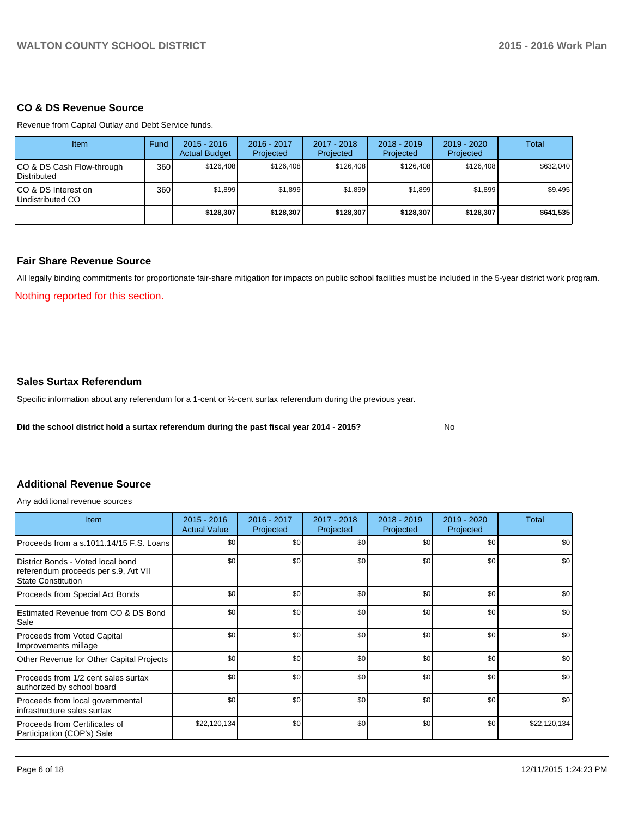### **CO & DS Revenue Source**

Revenue from Capital Outlay and Debt Service funds.

| <b>Item</b>                                     | Fund | $2015 - 2016$<br><b>Actual Budget</b> | $2016 - 2017$<br>Projected | 2017 - 2018<br>Projected | $2018 - 2019$<br>Projected | $2019 - 2020$<br>Projected | Total     |
|-------------------------------------------------|------|---------------------------------------|----------------------------|--------------------------|----------------------------|----------------------------|-----------|
| CO & DS Cash Flow-through<br><b>Distributed</b> | 360  | \$126,408                             | \$126,408                  | \$126,408                | \$126,408                  | \$126,408                  | \$632,040 |
| CO & DS Interest on<br>Undistributed CO         | 360  | \$1,899                               | \$1,899                    | \$1.899                  | \$1.899                    | \$1.899                    | \$9,495   |
|                                                 |      | \$128,307                             | \$128,307                  | \$128,307                | \$128,307                  | \$128,307                  | \$641,535 |

#### **Fair Share Revenue Source**

All legally binding commitments for proportionate fair-share mitigation for impacts on public school facilities must be included in the 5-year district work program.

No

Nothing reported for this section.

#### **Sales Surtax Referendum**

Specific information about any referendum for a 1-cent or ½-cent surtax referendum during the previous year.

**Did the school district hold a surtax referendum during the past fiscal year 2014 - 2015?**

# **Additional Revenue Source**

Any additional revenue sources

| <b>Item</b>                                                                                       | $2015 - 2016$<br><b>Actual Value</b> | 2016 - 2017<br>Projected | 2017 - 2018<br>Projected | $2018 - 2019$<br>Projected | 2019 - 2020<br>Projected | Total        |
|---------------------------------------------------------------------------------------------------|--------------------------------------|--------------------------|--------------------------|----------------------------|--------------------------|--------------|
| Proceeds from a s.1011.14/15 F.S. Loans                                                           | \$0                                  | \$0                      | \$0                      | \$0                        | \$0                      | \$0          |
| District Bonds - Voted local bond<br>referendum proceeds per s.9, Art VII<br>l State Constitution | \$0                                  | \$0                      | \$0                      | \$0                        | \$0                      | \$0          |
| Proceeds from Special Act Bonds                                                                   | \$0                                  | \$0                      | \$0                      | \$0                        | \$0                      | \$0          |
| Estimated Revenue from CO & DS Bond<br><b>Sale</b>                                                | \$0                                  | \$0                      | \$0                      | \$0                        | \$0                      | \$0          |
| Proceeds from Voted Capital<br>Improvements millage                                               | \$0                                  | \$0                      | \$0                      | \$0                        | \$0                      | \$0          |
| Other Revenue for Other Capital Projects                                                          | \$0                                  | \$0                      | \$0                      | \$0                        | \$0                      | \$0          |
| Proceeds from 1/2 cent sales surtax<br>authorized by school board                                 | \$0                                  | \$0                      | \$0                      | \$0                        | \$0                      | \$0          |
| Proceeds from local governmental<br>Infrastructure sales surtax                                   | \$0                                  | \$0                      | \$0                      | \$0                        | \$0                      | \$0          |
| l Proceeds from Certificates of<br>Participation (COP's) Sale                                     | \$22,120,134                         | \$0                      | \$0                      | \$0                        | \$0                      | \$22,120,134 |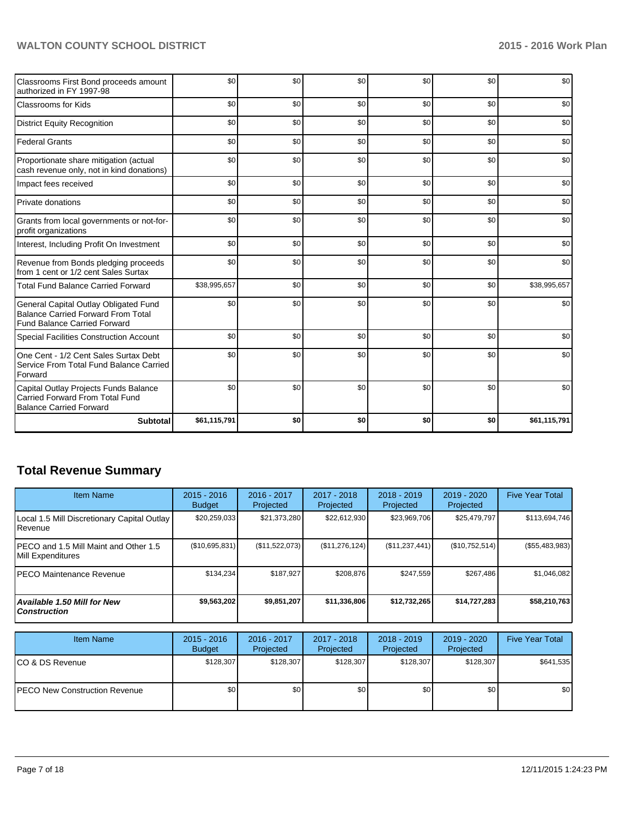| Classrooms First Bond proceeds amount<br>authorized in FY 1997-98                                                         | \$0          | \$0 | \$0 | \$0 | \$0 | \$0          |
|---------------------------------------------------------------------------------------------------------------------------|--------------|-----|-----|-----|-----|--------------|
| <b>Classrooms for Kids</b>                                                                                                | \$0          | \$0 | \$0 | \$0 | \$0 | \$0          |
| <b>District Equity Recognition</b>                                                                                        | \$0          | \$0 | \$0 | \$0 | \$0 | \$0          |
| <b>Federal Grants</b>                                                                                                     | \$0          | \$0 | \$0 | \$0 | \$0 | \$0          |
| Proportionate share mitigation (actual<br>cash revenue only, not in kind donations)                                       | \$0          | \$0 | \$0 | \$0 | \$0 | \$0          |
| Impact fees received                                                                                                      | \$0          | \$0 | \$0 | \$0 | \$0 | \$0          |
| Private donations                                                                                                         | \$0          | \$0 | \$0 | \$0 | \$0 | \$0          |
| Grants from local governments or not-for-<br>profit organizations                                                         | \$0          | \$0 | \$0 | \$0 | \$0 | \$0          |
| Interest, Including Profit On Investment                                                                                  | \$0          | \$0 | \$0 | \$0 | \$0 | \$0          |
| Revenue from Bonds pledging proceeds<br>from 1 cent or 1/2 cent Sales Surtax                                              | \$0          | \$0 | \$0 | \$0 | \$0 | \$0          |
| <b>Total Fund Balance Carried Forward</b>                                                                                 | \$38,995,657 | \$0 | \$0 | \$0 | \$0 | \$38,995,657 |
| General Capital Outlay Obligated Fund<br><b>Balance Carried Forward From Total</b><br><b>Fund Balance Carried Forward</b> | \$0          | \$0 | \$0 | \$0 | \$0 | \$0          |
| Special Facilities Construction Account                                                                                   | \$0          | \$0 | \$0 | \$0 | \$0 | \$0          |
| One Cent - 1/2 Cent Sales Surtax Debt<br>Service From Total Fund Balance Carried<br>Forward                               | \$0          | \$0 | \$0 | \$0 | \$0 | \$0          |
| Capital Outlay Projects Funds Balance<br>Carried Forward From Total Fund<br><b>Balance Carried Forward</b>                | \$0          | \$0 | \$0 | \$0 | \$0 | \$0          |
| <b>Subtotal</b>                                                                                                           | \$61,115,791 | \$0 | \$0 | \$0 | \$0 | \$61,115,791 |

# **Total Revenue Summary**

| <b>Item Name</b>                                                    | $2015 - 2016$<br><b>Budget</b> | 2016 - 2017<br>Projected | 2017 - 2018<br>Projected | $2018 - 2019$<br>Projected | $2019 - 2020$<br>Projected | <b>Five Year Total</b> |
|---------------------------------------------------------------------|--------------------------------|--------------------------|--------------------------|----------------------------|----------------------------|------------------------|
| Local 1.5 Mill Discretionary Capital Outlay<br><b>I</b> Revenue     | \$20,259,033                   | \$21,373,280             | \$22,612,930             | \$23,969,706               | \$25,479,797               | \$113,694,746          |
| IPECO and 1.5 Mill Maint and Other 1.5<br><b>IMill Expenditures</b> | (S10, 695, 831)                | (S11.522.073)            | (\$11,276,124)           | (S11, 237, 441)            | (S10, 752, 514)            | $(\$55,483,983)$       |
| IPECO Maintenance Revenue                                           | \$134.234                      | \$187.927                | \$208.876                | \$247.559                  | \$267.486                  | \$1,046,082            |
| Available 1.50 Mill for New l<br>l Construction                     | \$9,563,202                    | \$9,851,207              | \$11,336,806             | \$12,732,265               | \$14,727,283               | \$58,210,763           |

| <b>Item Name</b>                      | $2015 - 2016$<br><b>Budget</b> | $2016 - 2017$<br>Projected | 2017 - 2018<br>Projected | $2018 - 2019$<br>Projected | 2019 - 2020<br>Projected | <b>Five Year Total</b> |
|---------------------------------------|--------------------------------|----------------------------|--------------------------|----------------------------|--------------------------|------------------------|
| ICO & DS Revenue                      | \$128,307                      | \$128,307                  | \$128,307                | \$128,307                  | \$128,307                | \$641,535              |
| <b>IPECO New Construction Revenue</b> | \$0                            | \$0                        | \$0                      | \$0                        | \$0                      | \$0                    |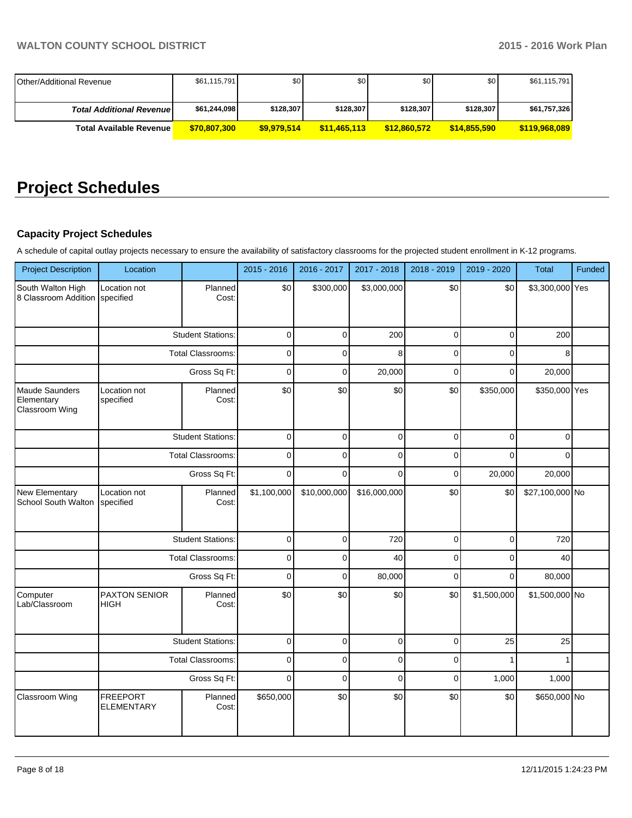| <b>IOther/Additional Revenue</b> | \$61,115,791 | \$0 I       | \$0          | \$0          | \$0          | \$61,115,791  |
|----------------------------------|--------------|-------------|--------------|--------------|--------------|---------------|
|                                  |              |             |              |              |              |               |
| <b>Total Additional Revenuel</b> | \$61,244,098 | \$128,307   | \$128,307    | \$128,307    | \$128,307    | \$61,757,326  |
| <b>Total Available Revenue</b>   | \$70,807,300 | \$9,979,514 | \$11.465.113 | \$12,860,572 | \$14.855.590 | \$119,968,089 |

# **Project Schedules**

# **Capacity Project Schedules**

A schedule of capital outlay projects necessary to ensure the availability of satisfactory classrooms for the projected student enrollment in K-12 programs.

| <b>Project Description</b>                            | Location                            |                          | 2015 - 2016 | 2016 - 2017  | 2017 - 2018  | 2018 - 2019    | 2019 - 2020    | Total           | Funded |
|-------------------------------------------------------|-------------------------------------|--------------------------|-------------|--------------|--------------|----------------|----------------|-----------------|--------|
| South Walton High<br>8 Classroom Addition specified   | Location not                        | Planned<br>Cost:         | \$0         | \$300,000    | \$3,000,000  | \$0            | \$0            | \$3,300,000 Yes |        |
|                                                       |                                     | <b>Student Stations:</b> | $\mathbf 0$ | $\mathbf 0$  | 200          | $\mathbf 0$    | $\overline{0}$ | 200             |        |
|                                                       |                                     | <b>Total Classrooms:</b> | $\mathbf 0$ | $\Omega$     | 8            | $\Omega$       | $\Omega$       | 8               |        |
|                                                       |                                     | Gross Sq Ft:             | $\mathbf 0$ | $\mathbf 0$  | 20,000       | $\overline{0}$ | $\Omega$       | 20,000          |        |
| <b>Maude Saunders</b><br>Elementary<br>Classroom Wing | Location not<br>specified           | Planned<br>Cost:         | \$0         | \$0          | \$0          | \$0            | \$350,000      | \$350,000 Yes   |        |
|                                                       |                                     | <b>Student Stations:</b> | $\mathbf 0$ | $\mathbf 0$  | $\Omega$     | $\Omega$       | $\Omega$       | $\Omega$        |        |
|                                                       |                                     | <b>Total Classrooms:</b> | $\mathbf 0$ | $\mathbf 0$  | $\mathbf 0$  | $\mathbf 0$    | $\Omega$       | $\Omega$        |        |
|                                                       |                                     | Gross Sq Ft:             | $\mathbf 0$ | $\Omega$     | $\Omega$     | $\mathbf 0$    | 20,000         | 20,000          |        |
| New Elementary<br><b>School South Walton</b>          | Location not<br>specified           | Planned<br>Cost:         | \$1,100,000 | \$10,000,000 | \$16,000,000 | \$0            | \$0            | \$27,100,000 No |        |
|                                                       |                                     | <b>Student Stations:</b> | $\pmb{0}$   | $\pmb{0}$    | 720          | $\pmb{0}$      | $\overline{0}$ | 720             |        |
|                                                       |                                     | <b>Total Classrooms:</b> | $\mathbf 0$ | 0            | 40           | $\mathbf 0$    | 0              | 40              |        |
|                                                       |                                     | Gross Sq Ft:             | $\mathbf 0$ | $\mathbf 0$  | 80,000       | $\Omega$       | $\Omega$       | 80,000          |        |
| Computer<br>Lab/Classroom                             | <b>PAXTON SENIOR</b><br><b>HIGH</b> | Planned<br>Cost:         | \$0         | \$0          | \$0          | \$0            | \$1,500,000    | \$1,500,000 No  |        |
|                                                       |                                     | <b>Student Stations:</b> | $\pmb{0}$   | $\mathbf 0$  | $\pmb{0}$    | $\mathbf 0$    | 25             | 25              |        |
|                                                       |                                     | <b>Total Classrooms:</b> | $\Omega$    | $\Omega$     | $\Omega$     | $\Omega$       |                |                 |        |
|                                                       |                                     | Gross Sq Ft:             | $\mathbf 0$ | $\mathbf 0$  | $\mathbf 0$  | $\pmb{0}$      | 1,000          | 1,000           |        |
| Classroom Wing                                        | <b>FREEPORT</b><br>ELEMENTARY       | Planned<br>Cost:         | \$650,000   | \$0          | \$0          | \$0            | \$0            | \$650,000 No    |        |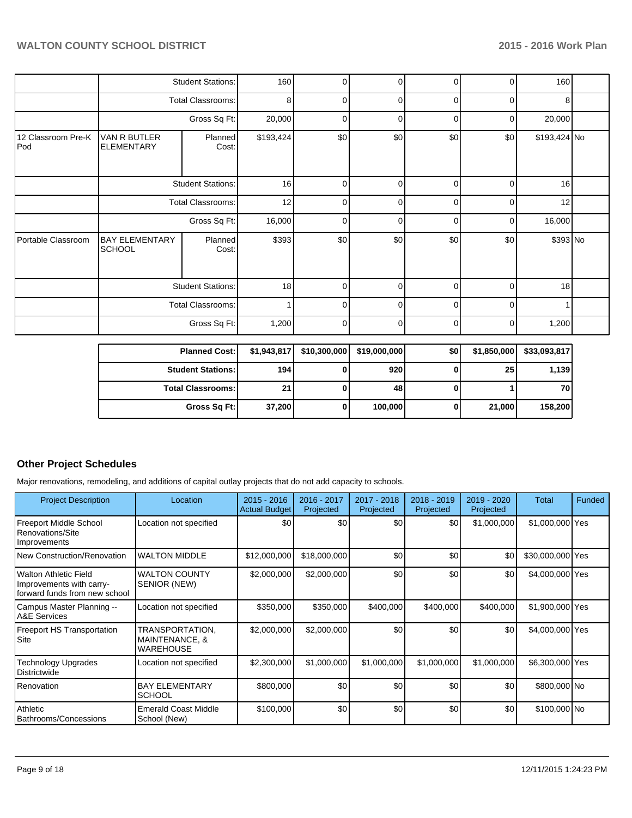|                           |                                        | <b>Student Stations:</b> | 160       | 0        | 0           | 0        | 0        | 160             |  |
|---------------------------|----------------------------------------|--------------------------|-----------|----------|-------------|----------|----------|-----------------|--|
|                           |                                        | <b>Total Classrooms:</b> | 8         | 0        | $\Omega$    | $\Omega$ | $\Omega$ | 8               |  |
|                           |                                        | Gross Sq Ft:             | 20,000    | 0        | 0           | 0        | 0        | 20,000          |  |
| 12 Classroom Pre-K<br>Pod | VAN R BUTLER<br><b>ELEMENTARY</b>      | Planned<br>Cost:         | \$193,424 | \$0      | \$0         | \$0      | \$0      | \$193,424 No    |  |
|                           |                                        | <b>Student Stations:</b> | 16        | $\Omega$ | $\mathbf 0$ | 0        | 0        | 16              |  |
|                           |                                        | <b>Total Classrooms:</b> | 12        | U        | $\Omega$    | $\Omega$ | 0        | 12              |  |
|                           |                                        | Gross Sq Ft:             | 16,000    | $\Omega$ | 0           | $\Omega$ | 0        | 16,000          |  |
| Portable Classroom        | <b>BAY ELEMENTARY</b><br><b>SCHOOL</b> | Planned<br>Cost:         | \$393     | \$0      | \$0         | \$0      | \$0      | \$393 No        |  |
|                           |                                        | <b>Student Stations:</b> | 18        | $\Omega$ | $\Omega$    | $\Omega$ | 0        | 18 <sup>1</sup> |  |
|                           |                                        | <b>Total Classrooms:</b> |           | U        | $\Omega$    | U        | $\Omega$ |                 |  |
|                           |                                        | Gross Sq Ft:             | 1,200     | $\Omega$ | 0           | 0        | 0        | 1,200           |  |
|                           |                                        |                          |           |          |             |          |          |                 |  |

| <b>Planned Cost:</b>       | \$1,943,817 | \$10,300,000 | \$19,000,000 | \$٥ | \$1,850,000 | \$33,093,817 |
|----------------------------|-------------|--------------|--------------|-----|-------------|--------------|
| <b>Student Stations: I</b> | 194         |              | 920          |     | 25          | 1,139        |
| <b>Total Classrooms:</b>   | 21          |              | 48           |     |             | 70           |
| Gross Sq Ft:               | 37,200      |              | 100,000      |     | 21,000      | 158,200      |

# **Other Project Schedules**

Major renovations, remodeling, and additions of capital outlay projects that do not add capacity to schools.

| <b>Project Description</b>                                                         | Location                                              | $2015 - 2016$<br><b>Actual Budget</b> | 2016 - 2017<br>Projected | 2017 - 2018<br>Projected | 2018 - 2019<br>Projected | 2019 - 2020<br>Projected | Total            | Funded |
|------------------------------------------------------------------------------------|-------------------------------------------------------|---------------------------------------|--------------------------|--------------------------|--------------------------|--------------------------|------------------|--------|
| <b>Freeport Middle School</b><br>Renovations/Site<br>Improvements                  | Location not specified                                | \$0                                   | \$0                      | \$0                      | \$0                      | \$1,000,000              | \$1,000,000 Yes  |        |
| <b>New Construction/Renovation</b>                                                 | <b>WALTON MIDDLE</b>                                  | \$12,000,000                          | \$18,000,000             | \$0                      | \$0                      | \$0                      | \$30,000,000 Yes |        |
| Walton Athletic Field<br>Improvements with carry-<br>forward funds from new school | <b>WALTON COUNTY</b><br>SENIOR (NEW)                  | \$2,000,000                           | \$2,000,000              | \$0                      | \$0                      | \$0                      | \$4,000,000 Yes  |        |
| Campus Master Planning --<br><b>A&amp;E Services</b>                               | Location not specified                                | \$350,000                             | \$350,000                | \$400,000                | \$400,000                | \$400,000                | \$1,900,000 Yes  |        |
| <b>Freeport HS Transportation</b><br>Site                                          | TRANSPORTATION,<br>MAINTENANCE, &<br><b>WAREHOUSE</b> | \$2,000,000                           | \$2,000,000              | \$0                      | \$0                      | \$0                      | \$4,000,000 Yes  |        |
| Technology Upgrades<br>Districtwide                                                | Location not specified                                | \$2,300,000                           | \$1,000,000              | \$1,000,000              | \$1,000,000              | \$1,000,000              | \$6,300,000 Yes  |        |
| Renovation                                                                         | <b>BAY ELEMENTARY</b><br><b>SCHOOL</b>                | \$800,000                             | \$0                      | \$0                      | \$0                      | \$0                      | \$800,000 No     |        |
| Athletic<br>Bathrooms/Concessions                                                  | <b>Emerald Coast Middle</b><br>School (New)           | \$100,000                             | \$0                      | \$0                      | \$0                      | \$0                      | \$100,000 No     |        |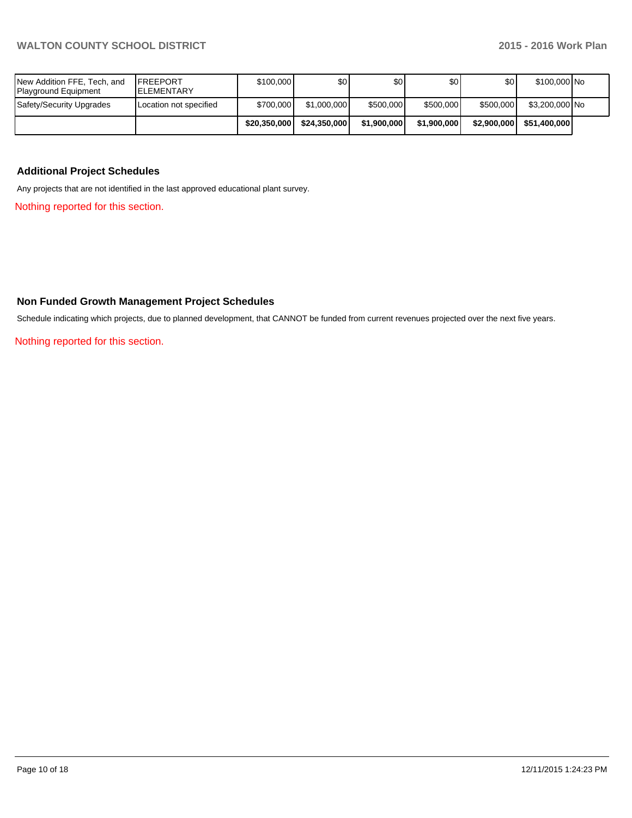|                                                     |                                       | \$20,350,000 | \$24,350,000 | \$1,900,000 | \$1,900,000 | \$2,900,000      | \$51,400,000   |  |
|-----------------------------------------------------|---------------------------------------|--------------|--------------|-------------|-------------|------------------|----------------|--|
| Safety/Security Upgrades                            | Location not specified                | \$700,000    | \$1,000,000  | \$500,000   | \$500,000   | \$500,000        | \$3,200,000 No |  |
| New Addition FFE, Tech, and<br>Playground Equipment | <b>FREEPORT</b><br><b>IELEMENTARY</b> | \$100,000    | \$0I         | \$0         | \$OI        | \$0 <sub>1</sub> | \$100,000 No   |  |

### **Additional Project Schedules**

Any projects that are not identified in the last approved educational plant survey.

Nothing reported for this section.

# **Non Funded Growth Management Project Schedules**

Schedule indicating which projects, due to planned development, that CANNOT be funded from current revenues projected over the next five years.

Nothing reported for this section.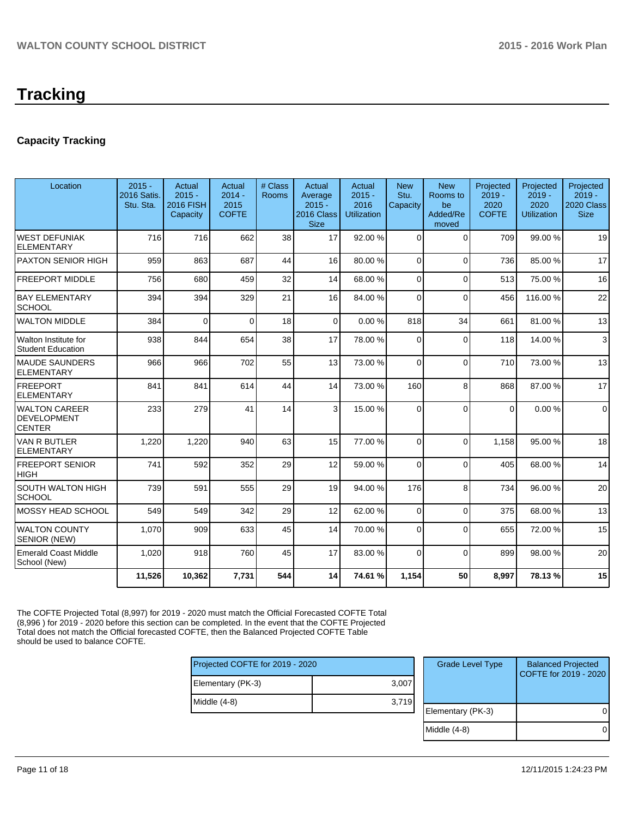# **Capacity Tracking**

| Location                                             | $2015 -$<br><b>2016 Satis.</b><br>Stu. Sta. | Actual<br>$2015 -$<br>2016 FISH<br>Capacity | Actual<br>$2014 -$<br>2015<br><b>COFTE</b> | # Class<br>Rooms | Actual<br>Average<br>$2015 -$<br>2016 Class<br><b>Size</b> | Actual<br>$2015 -$<br>2016<br><b>Utilization</b> | <b>New</b><br>Stu.<br>Capacity | <b>New</b><br>Rooms to<br>be<br>Added/Re<br>moved | Projected<br>$2019 -$<br>2020<br><b>COFTE</b> | Projected<br>$2019 -$<br>2020<br><b>Utilization</b> | Projected<br>$2019 -$<br>2020 Class<br><b>Size</b> |
|------------------------------------------------------|---------------------------------------------|---------------------------------------------|--------------------------------------------|------------------|------------------------------------------------------------|--------------------------------------------------|--------------------------------|---------------------------------------------------|-----------------------------------------------|-----------------------------------------------------|----------------------------------------------------|
| <b>WEST DEFUNIAK</b><br><b>ELEMENTARY</b>            | 716                                         | 716                                         | 662                                        | 38               | 17                                                         | 92.00 %                                          | $\Omega$                       | $\Omega$                                          | 709                                           | 99.00 %                                             | 19                                                 |
| <b>PAXTON SENIOR HIGH</b>                            | 959                                         | 863                                         | 687                                        | 44               | 16                                                         | 80.00 %                                          | $\Omega$                       | $\Omega$                                          | 736                                           | 85.00 %                                             | 17                                                 |
| <b>FREEPORT MIDDLE</b>                               | 756                                         | 680                                         | 459                                        | 32               | 14                                                         | 68.00 %                                          | $\Omega$                       | $\Omega$                                          | 513                                           | 75.00 %                                             | 16                                                 |
| <b>BAY ELEMENTARY</b><br><b>SCHOOL</b>               | 394                                         | 394                                         | 329                                        | 21               | 16                                                         | 84.00 %                                          | $\Omega$                       | $\Omega$                                          | 456                                           | 116.00%                                             | 22                                                 |
| <b>WALTON MIDDLE</b>                                 | 384                                         | $\Omega$                                    | $\Omega$                                   | 18               | $\Omega$                                                   | 0.00%                                            | 818                            | 34                                                | 661                                           | 81.00%                                              | 13                                                 |
| Walton Institute for<br><b>Student Education</b>     | 938                                         | 844                                         | 654                                        | 38               | 17                                                         | 78.00 %                                          | $\Omega$                       | $\Omega$                                          | 118                                           | 14.00 %                                             | 3                                                  |
| <b>MAUDE SAUNDERS</b><br><b>ELEMENTARY</b>           | 966                                         | 966                                         | 702                                        | 55               | 13                                                         | 73.00 %                                          | $\Omega$                       | $\Omega$                                          | 710                                           | 73.00 %                                             | 13                                                 |
| <b>FREEPORT</b><br><b>ELEMENTARY</b>                 | 841                                         | 841                                         | 614                                        | 44               | 14                                                         | 73.00 %                                          | 160                            | 8                                                 | 868                                           | 87.00 %                                             | 17                                                 |
| <b>WALTON CAREER</b><br>DEVELOPMENT<br><b>CENTER</b> | 233                                         | 279                                         | 41                                         | 14               | $\overline{3}$                                             | 15.00 %                                          | $\Omega$                       | $\Omega$                                          | $\Omega$                                      | 0.00%                                               | $\Omega$                                           |
| VAN R BUTLER<br><b>ELEMENTARY</b>                    | 1,220                                       | 1,220                                       | 940                                        | 63               | 15                                                         | 77.00 %                                          | $\Omega$                       | $\Omega$                                          | 1,158                                         | 95.00 %                                             | 18                                                 |
| <b>FREEPORT SENIOR</b><br><b>HIGH</b>                | 741                                         | 592                                         | 352                                        | 29               | 12                                                         | 59.00 %                                          | $\Omega$                       | $\Omega$                                          | 405                                           | 68.00%                                              | 14                                                 |
| SOUTH WALTON HIGH<br><b>SCHOOL</b>                   | 739                                         | 591                                         | 555                                        | 29               | 19                                                         | 94.00 %                                          | 176                            | 8                                                 | 734                                           | 96.00 %                                             | 20                                                 |
| MOSSY HEAD SCHOOL                                    | 549                                         | 549                                         | 342                                        | 29               | 12                                                         | 62.00 %                                          | $\Omega$                       | $\Omega$                                          | 375                                           | 68.00%                                              | 13                                                 |
| <b>WALTON COUNTY</b><br>SENIOR (NEW)                 | 1,070                                       | 909                                         | 633                                        | 45               | 14                                                         | 70.00 %                                          | $\Omega$                       | $\Omega$                                          | 655                                           | 72.00%                                              | 15                                                 |
| <b>Emerald Coast Middle</b><br>School (New)          | 1,020                                       | 918                                         | 760                                        | 45               | 17                                                         | 83.00 %                                          | $\Omega$                       | $\Omega$                                          | 899                                           | 98.00 %                                             | 20                                                 |
|                                                      | 11,526                                      | 10,362                                      | 7,731                                      | 544              | 14                                                         | 74.61 %                                          | 1,154                          | 50                                                | 8,997                                         | 78.13%                                              | 15                                                 |

The COFTE Projected Total (8,997) for 2019 - 2020 must match the Official Forecasted COFTE Total (8,996 ) for 2019 - 2020 before this section can be completed. In the event that the COFTE Projected Total does not match the Official forecasted COFTE, then the Balanced Projected COFTE Table should be used to balance COFTE.

| Projected COFTE for 2019 - 2020 |       |  |  |  |  |  |
|---------------------------------|-------|--|--|--|--|--|
| Elementary (PK-3)               | 3,007 |  |  |  |  |  |
| Middle (4-8)                    | 3,719 |  |  |  |  |  |
|                                 |       |  |  |  |  |  |

| <b>Grade Level Type</b> | <b>Balanced Projected</b><br>COFTE for 2019 - 2020 |
|-------------------------|----------------------------------------------------|
| Elementary (PK-3)       |                                                    |
| Middle (4-8)            |                                                    |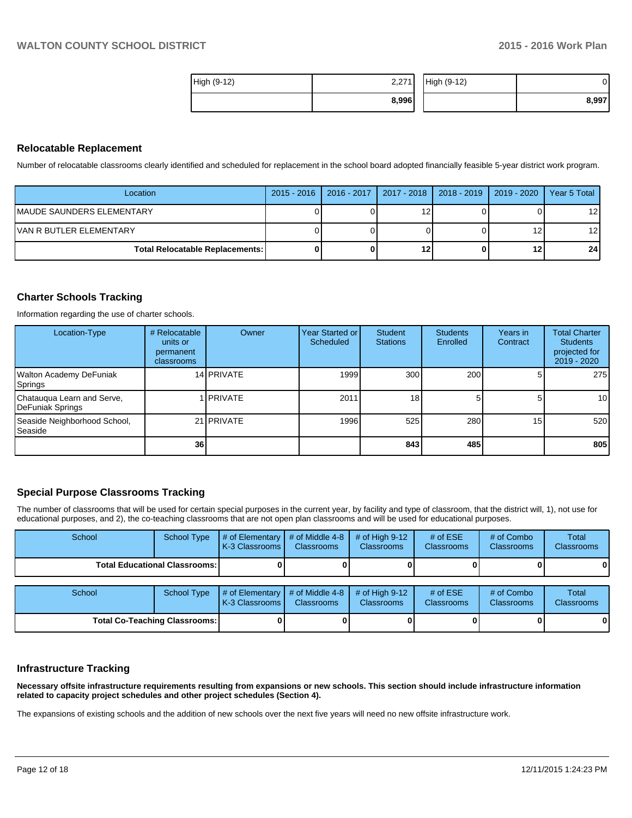| High (9-12) | 2,271 | High (9-12) |       |
|-------------|-------|-------------|-------|
|             | 8,996 |             | 8,997 |

#### **Relocatable Replacement**

Number of relocatable classrooms clearly identified and scheduled for replacement in the school board adopted financially feasible 5-year district work program.

| Location                               | 2015 - 2016   2016 - 2017   2017 - 2018   2018 - 2019   2019 - 2020 |     |    | Year 5 Total    |
|----------------------------------------|---------------------------------------------------------------------|-----|----|-----------------|
| IMAUDE SAUNDERS ELEMENTARY             |                                                                     | 1 າ |    | 12 I            |
| IVAN R BUTLER ELEMENTARY               |                                                                     |     | 12 | 12 I            |
| <b>Total Relocatable Replacements:</b> |                                                                     | 12  | 12 | 24 <sup>1</sup> |

### **Charter Schools Tracking**

Information regarding the use of charter schools.

| Location-Type                                   | # Relocatable<br>units or<br>permanent<br>classrooms | Owner             | <b>Year Started or I</b><br>Scheduled | Student<br><b>Stations</b> | <b>Students</b><br>Enrolled | Years in<br>Contract | <b>Total Charter</b><br><b>Students</b><br>projected for<br>2019 - 2020 |
|-------------------------------------------------|------------------------------------------------------|-------------------|---------------------------------------|----------------------------|-----------------------------|----------------------|-------------------------------------------------------------------------|
| Walton Academy DeFuniak<br>Springs              |                                                      | 14 PRIVATE        | 1999                                  | 300                        | 200                         |                      | 275                                                                     |
| Chatauqua Learn and Serve,<br>DeFuniak Springs  |                                                      | <b>I PRIVATE</b>  | 2011                                  | 18                         |                             |                      | 10 <sub>l</sub>                                                         |
| Seaside Neighborhood School,<br><b>S</b> easide |                                                      | 21 <b>PRIVATE</b> | 1996                                  | 525                        | 280                         | 15                   | 520                                                                     |
|                                                 | 36                                                   |                   |                                       | 8431                       | 485                         |                      | 805                                                                     |

# **Special Purpose Classrooms Tracking**

The number of classrooms that will be used for certain special purposes in the current year, by facility and type of classroom, that the district will, 1), not use for educational purposes, and 2), the co-teaching classrooms that are not open plan classrooms and will be used for educational purposes.

| School<br><b>School Type</b>         |                    | # of Elementary<br>K-3 Classrooms | # of Middle 4-8<br><b>Classrooms</b> | # of High $9-12$<br><b>Classrooms</b> | # of $ESE$<br><b>Classrooms</b> | # of Combo<br><b>Classrooms</b> | Total<br>Classrooms |
|--------------------------------------|--------------------|-----------------------------------|--------------------------------------|---------------------------------------|---------------------------------|---------------------------------|---------------------|
| <b>Total Educational Classrooms:</b> |                    |                                   |                                      |                                       |                                 |                                 |                     |
| School                               | <b>School Type</b> | # of Elementary<br>K-3 Classrooms | # of Middle 4-8<br><b>Classrooms</b> | # of High $9-12$<br><b>Classrooms</b> | # of $ESE$<br><b>Classrooms</b> | # of Combo<br><b>Classrooms</b> | Total<br>Classrooms |
| <b>Total Co-Teaching Classrooms:</b> |                    |                                   |                                      |                                       |                                 |                                 |                     |

#### **Infrastructure Tracking**

**Necessary offsite infrastructure requirements resulting from expansions or new schools. This section should include infrastructure information related to capacity project schedules and other project schedules (Section 4).**

The expansions of existing schools and the addition of new schools over the next five years will need no new offsite infrastructure work.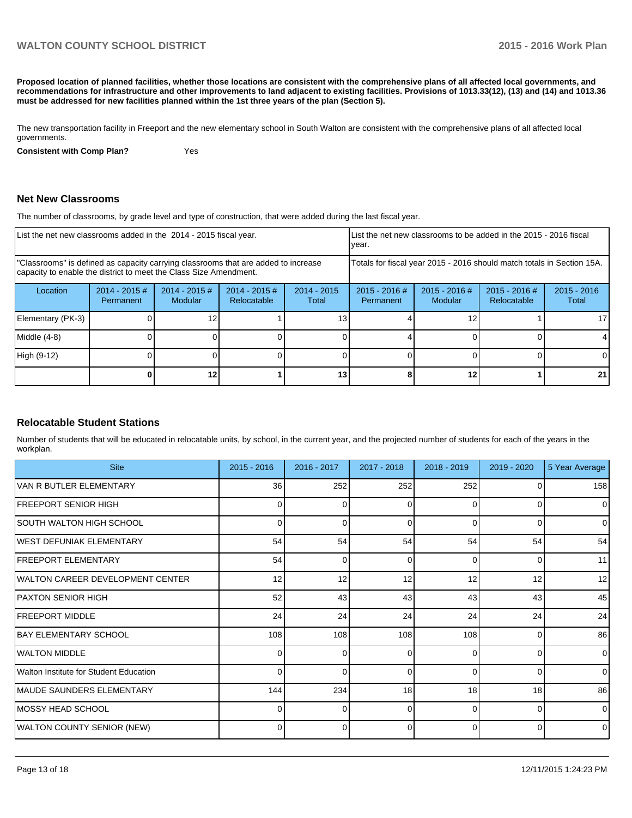**Proposed location of planned facilities, whether those locations are consistent with the comprehensive plans of all affected local governments, and recommendations for infrastructure and other improvements to land adjacent to existing facilities. Provisions of 1013.33(12), (13) and (14) and 1013.36 must be addressed for new facilities planned within the 1st three years of the plan (Section 5).**

The new transportation facility in Freeport and the new elementary school in South Walton are consistent with the comprehensive plans of all affected local governments.

**Consistent with Comp Plan?** Yes

#### **Net New Classrooms**

The number of classrooms, by grade level and type of construction, that were added during the last fiscal year.

| List the net new classrooms added in the 2014 - 2015 fiscal year.                                                                                       |                                                                                                                                |    | Ivear. |    | List the net new classrooms to be added in the 2015 - 2016 fiscal      |                            |                                |                        |
|---------------------------------------------------------------------------------------------------------------------------------------------------------|--------------------------------------------------------------------------------------------------------------------------------|----|--------|----|------------------------------------------------------------------------|----------------------------|--------------------------------|------------------------|
| "Classrooms" is defined as capacity carrying classrooms that are added to increase<br>capacity to enable the district to meet the Class Size Amendment. |                                                                                                                                |    |        |    | Totals for fiscal year 2015 - 2016 should match totals in Section 15A. |                            |                                |                        |
| Location                                                                                                                                                | $2014 - 2015$ #<br>$2014 - 2015 \#$<br>$2014 - 2015$ #<br>$2014 - 2015$<br><b>Modular</b><br>Relocatable<br>Permanent<br>Total |    |        |    | $2015 - 2016$ #<br>Permanent                                           | $2015 - 2016$ #<br>Modular | $2015 - 2016$ #<br>Relocatable | $2015 - 2016$<br>Total |
| Elementary (PK-3)                                                                                                                                       |                                                                                                                                |    |        |    |                                                                        |                            |                                | 17                     |
| Middle (4-8)                                                                                                                                            |                                                                                                                                |    |        |    |                                                                        |                            |                                |                        |
| High (9-12)                                                                                                                                             |                                                                                                                                |    |        |    | 0                                                                      |                            |                                |                        |
|                                                                                                                                                         |                                                                                                                                | 12 |        | 13 |                                                                        | 12                         |                                | 21                     |

#### **Relocatable Student Stations**

Number of students that will be educated in relocatable units, by school, in the current year, and the projected number of students for each of the years in the workplan.

| <b>Site</b>                            | $2015 - 2016$   | 2016 - 2017 | 2017 - 2018 | 2018 - 2019 | $2019 - 2020$ | 5 Year Average |
|----------------------------------------|-----------------|-------------|-------------|-------------|---------------|----------------|
| VAN R BUTLER ELEMENTARY                | 36 <sup>1</sup> | 252         | 252         | 252         |               | 158            |
| IFREEPORT SENIOR HIGH                  | 01              | 0           | 0           | $\Omega$    | 0             | $\overline{0}$ |
| ISOUTH WALTON HIGH SCHOOL              | ΩI              | n           | $\Omega$    | $\Omega$    | ŋ             | $\overline{0}$ |
| <b>IWEST DEFUNIAK ELEMENTARY</b>       | 54              | 54          | 54          | 54          | 54            | 54             |
| <b>FREEPORT ELEMENTARY</b>             | 54              | U           | 0           | $\Omega$    | 0             | 11             |
| IWALTON CAREER DEVELOPMENT CENTER      | 12              | 12          | 12          | 12          | 12            | 12             |
| PAXTON SENIOR HIGH                     | 52              | 43          | 43          | 43          | 43            | 45             |
| IFREEPORT MIDDLE                       | 24              | 24          | 24          | 24          | 24            | 24             |
| <b>IBAY ELEMENTARY SCHOOL</b>          | 108             | 108         | 108         | 108         | $\Omega$      | 86             |
| <b>IWALTON MIDDLE</b>                  | $\Omega$        | 0           | 0           | $\Omega$    | 0             | $\overline{0}$ |
| Walton Institute for Student Education | 0               | U           | $\Omega$    | $\Omega$    | 0             | $\overline{0}$ |
| IMAUDE SAUNDERS ELEMENTARY             | 144             | 234         | 18          | 18          | 18            | 86             |
| IMOSSY HEAD SCHOOL                     | 0               | 0           | $\Omega$    | $\Omega$    | 0             | $\overline{0}$ |
| <b>WALTON COUNTY SENIOR (NEW)</b>      |                 |             | 0           | $\Omega$    |               | $\overline{0}$ |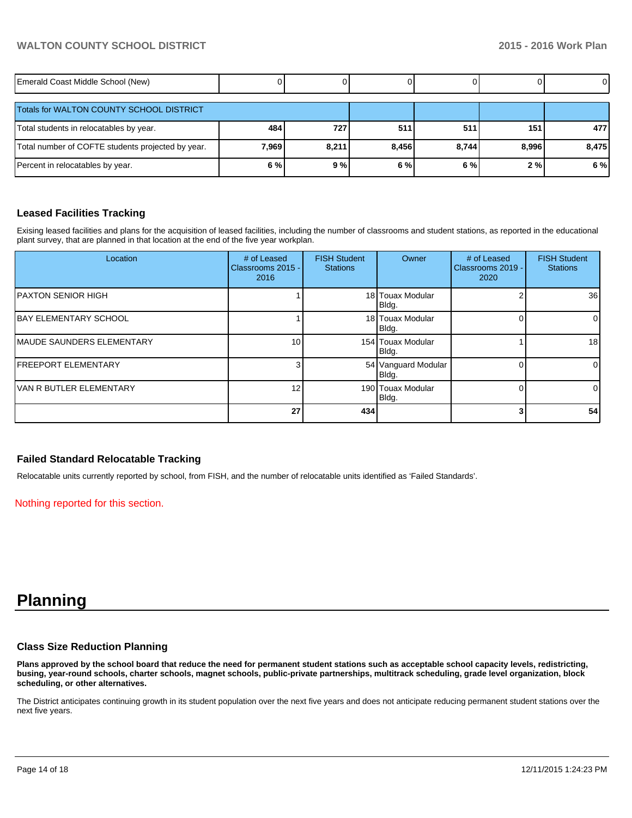| Emerald Coast Middle School (New)                 |       |       |       |       |       | $\overline{0}$ |
|---------------------------------------------------|-------|-------|-------|-------|-------|----------------|
| Totals for WALTON COUNTY SCHOOL DISTRICT          |       |       |       |       |       |                |
| Total students in relocatables by year.           | 484   | 727   | 511   | 511   | 151   | 4771           |
| Total number of COFTE students projected by year. | 7,969 | 8,211 | 8,456 | 8,744 | 8,996 | 8,475          |
| Percent in relocatables by year.                  | 6%    | 9%    | 6%    | 6%    | 2%    | 6 %            |

#### **Leased Facilities Tracking**

Exising leased facilities and plans for the acquisition of leased facilities, including the number of classrooms and student stations, as reported in the educational plant survey, that are planned in that location at the end of the five year workplan.

| Location                         | # of Leased<br>Classrooms 2015 -<br>2016 | <b>FISH Student</b><br><b>Stations</b> | Owner                        | # of Leased<br>Classrooms 2019 -<br>2020 | <b>FISH Student</b><br><b>Stations</b> |
|----------------------------------|------------------------------------------|----------------------------------------|------------------------------|------------------------------------------|----------------------------------------|
| <b>IPAXTON SENIOR HIGH</b>       |                                          |                                        | 18 Touax Modular<br>Bldg.    |                                          | 36 <sup>1</sup>                        |
| <b>IBAY ELEMENTARY SCHOOL</b>    |                                          |                                        | 18 Touax Modular<br>Bldg.    |                                          | $\overline{0}$                         |
| <b>MAUDE SAUNDERS ELEMENTARY</b> | 10 <sub>1</sub>                          |                                        | 154 Touax Modular<br>Bldg.   |                                          | 18 <sup>l</sup>                        |
| <b>IFREEPORT ELEMENTARY</b>      |                                          |                                        | 54 Vanguard Modular<br>Bldg. |                                          | $\overline{0}$                         |
| IVAN R BUTLER ELEMENTARY         | 12 <sub>1</sub>                          |                                        | 190 Touax Modular<br>Bldg.   |                                          | $\overline{0}$                         |
|                                  | 27                                       | 434                                    |                              |                                          | 54                                     |

#### **Failed Standard Relocatable Tracking**

Relocatable units currently reported by school, from FISH, and the number of relocatable units identified as 'Failed Standards'.

Nothing reported for this section.

# **Planning**

#### **Class Size Reduction Planning**

**Plans approved by the school board that reduce the need for permanent student stations such as acceptable school capacity levels, redistricting, busing, year-round schools, charter schools, magnet schools, public-private partnerships, multitrack scheduling, grade level organization, block scheduling, or other alternatives.**

The District anticipates continuing growth in its student population over the next five years and does not anticipate reducing permanent student stations over the next five years.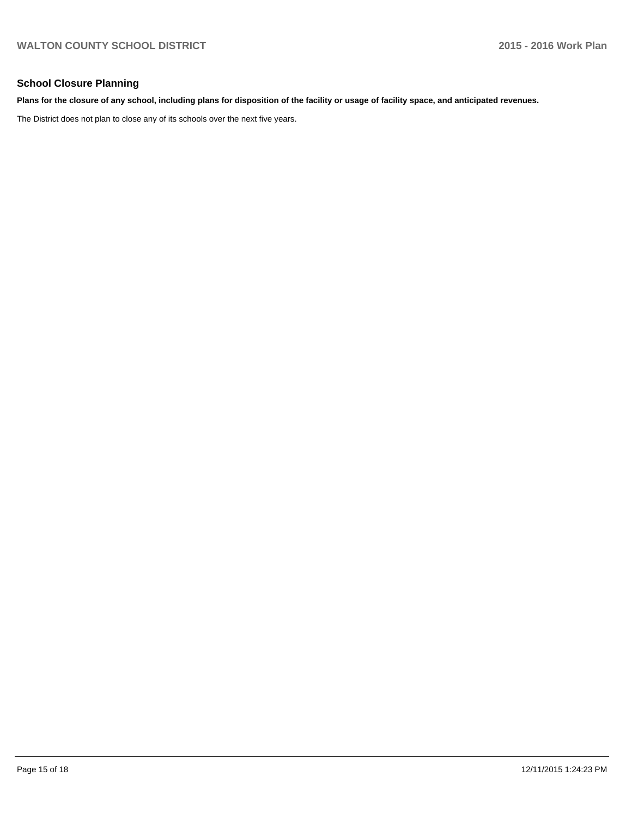# **School Closure Planning**

#### **Plans for the closure of any school, including plans for disposition of the facility or usage of facility space, and anticipated revenues.**

The District does not plan to close any of its schools over the next five years.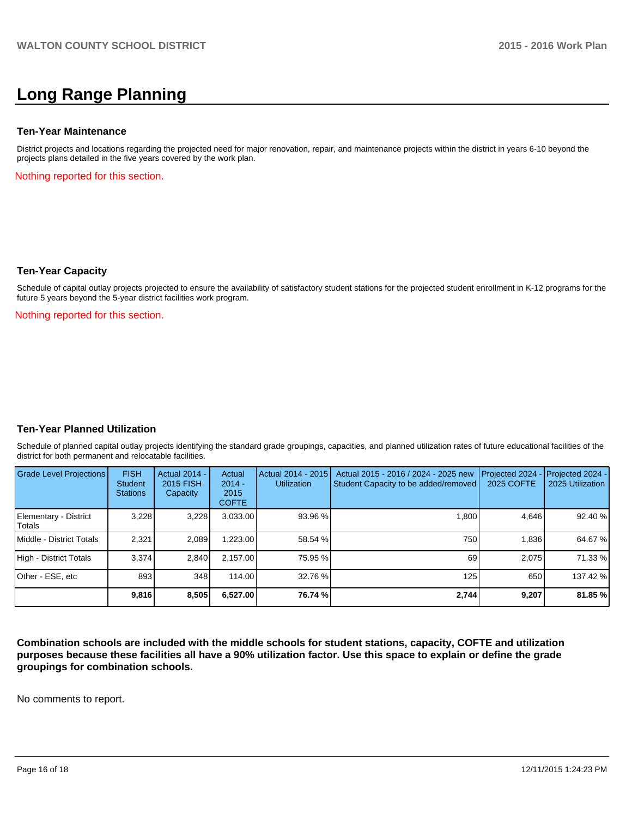# **Long Range Planning**

#### **Ten-Year Maintenance**

District projects and locations regarding the projected need for major renovation, repair, and maintenance projects within the district in years 6-10 beyond the projects plans detailed in the five years covered by the work plan.

Nothing reported for this section.

#### **Ten-Year Capacity**

Schedule of capital outlay projects projected to ensure the availability of satisfactory student stations for the projected student enrollment in K-12 programs for the future 5 years beyond the 5-year district facilities work program.

Nothing reported for this section.

#### **Ten-Year Planned Utilization**

Schedule of planned capital outlay projects identifying the standard grade groupings, capacities, and planned utilization rates of future educational facilities of the district for both permanent and relocatable facilities.

| <b>Grade Level Projections</b>  | <b>FISH</b><br>Student<br><b>Stations</b> | Actual 2014 -<br>2015 FISH<br>Capacity | Actual<br>$2014 -$<br>2015<br><b>COFTE</b> | Actual 2014 - 2015<br><b>Utilization</b> | Actual 2015 - 2016 / 2024 - 2025 new<br>Student Capacity to be added/removed | Projected 2024<br>2025 COFTE | $-$ Projected 2024 -<br>2025 Utilization |
|---------------------------------|-------------------------------------------|----------------------------------------|--------------------------------------------|------------------------------------------|------------------------------------------------------------------------------|------------------------------|------------------------------------------|
| Elementary - District<br>Totals | 3,228                                     | 3,228                                  | 3,033.00                                   | $93.96\%$                                | 1.800                                                                        | 4.646                        | 92.40 %                                  |
| Middle - District Totals        | 2.321                                     | 2.089                                  | ا 223.00.                                  | 58.54 %                                  | 750                                                                          | 1.836                        | 64.67%                                   |
| High - District Totals          | 3.374                                     | 2.840                                  | 2.157.00                                   | 75.95 %                                  | 69                                                                           | 2.075                        | 71.33 %                                  |
| Other - ESE, etc                | 893                                       | 348                                    | 114.00                                     | 32.76 %                                  | 125                                                                          | 650                          | 137.42 %                                 |
|                                 | 9,816                                     | 8,505                                  | 6,527.00                                   | 76.74 %                                  | 2.744                                                                        | 9,207                        | 81.85 %                                  |

**Combination schools are included with the middle schools for student stations, capacity, COFTE and utilization purposes because these facilities all have a 90% utilization factor. Use this space to explain or define the grade groupings for combination schools.**

No comments to report.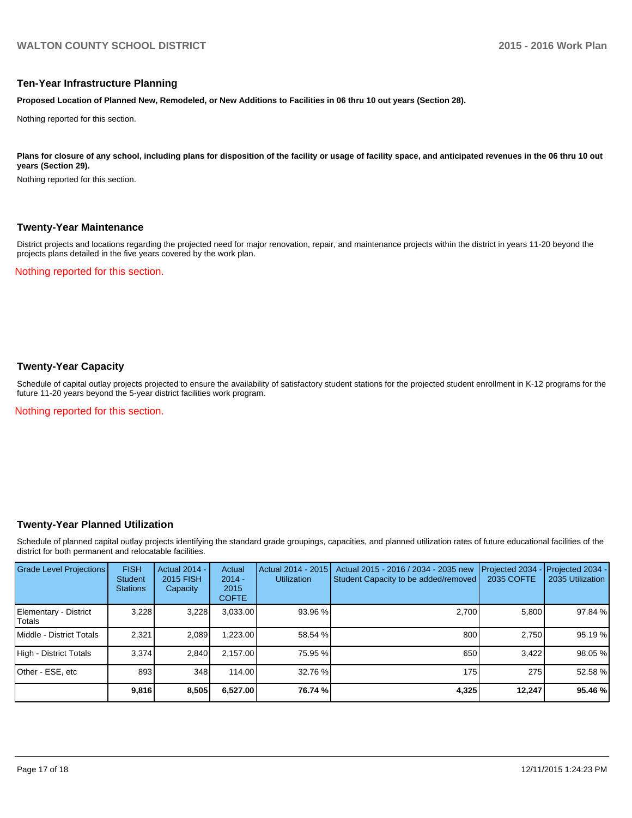#### **Ten-Year Infrastructure Planning**

**Proposed Location of Planned New, Remodeled, or New Additions to Facilities in 06 thru 10 out years (Section 28).**

Nothing reported for this section.

Plans for closure of any school, including plans for disposition of the facility or usage of facility space, and anticipated revenues in the 06 thru 10 out **years (Section 29).**

Nothing reported for this section.

#### **Twenty-Year Maintenance**

District projects and locations regarding the projected need for major renovation, repair, and maintenance projects within the district in years 11-20 beyond the projects plans detailed in the five years covered by the work plan.

Nothing reported for this section.

### **Twenty-Year Capacity**

Schedule of capital outlay projects projected to ensure the availability of satisfactory student stations for the projected student enrollment in K-12 programs for the future 11-20 years beyond the 5-year district facilities work program.

Nothing reported for this section.

#### **Twenty-Year Planned Utilization**

Schedule of planned capital outlay projects identifying the standard grade groupings, capacities, and planned utilization rates of future educational facilities of the district for both permanent and relocatable facilities.

| Grade Level Projections         | <b>FISH</b><br><b>Student</b><br><b>Stations</b> | <b>Actual 2014 -</b><br>2015 FISH<br>Capacity | Actual<br>$2014 -$<br>2015<br><b>COFTE</b> | Actual 2014 - 2015<br><b>Utilization</b> | Actual 2015 - 2016 / 2034 - 2035 new<br>Student Capacity to be added/removed | Projected 2034<br>2035 COFTE | Projected 2034 -<br>2035 Utilization |
|---------------------------------|--------------------------------------------------|-----------------------------------------------|--------------------------------------------|------------------------------------------|------------------------------------------------------------------------------|------------------------------|--------------------------------------|
| Elementary - District<br>Totals | 3,228                                            | 3,228                                         | 3,033.00                                   | 93.96 %                                  | 2.700                                                                        | 5.800                        | 97.84 %                              |
| Middle - District Totals        | 2.321                                            | 2,089                                         | .223.00                                    | 58.54 %                                  | 800                                                                          | 2.750                        | 95.19 %                              |
| High - District Totals          | 3.374                                            | 2.840                                         | 2.157.00                                   | 75.95 %                                  | 650                                                                          | 3.422                        | 98.05 %                              |
| Other - ESE, etc                | 893                                              | 348                                           | 114.00                                     | 32.76 %                                  | 175                                                                          | 275                          | 52.58 %                              |
|                                 | 9,816                                            | 8,505                                         | 6,527.00                                   | 76.74 %                                  | 4,325                                                                        | 12,247                       | 95.46 %                              |